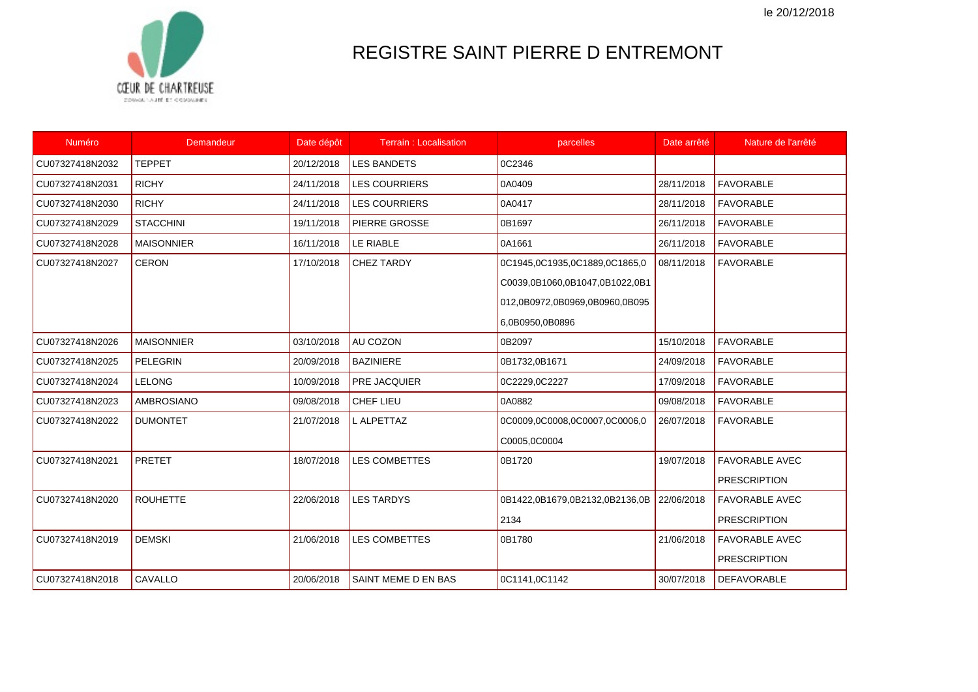le 20/12/2018



## REGISTRE SAINT PIERRE D ENTREMONT

| Numéro          | Demandeur         | Date dépôt | <b>Terrain: Localisation</b> | parcelles                      | Date arrêté | Nature de l'arrêté    |
|-----------------|-------------------|------------|------------------------------|--------------------------------|-------------|-----------------------|
| CU07327418N2032 | <b>TEPPET</b>     | 20/12/2018 | <b>LES BANDETS</b>           | 0C2346                         |             |                       |
| CU07327418N2031 | <b>RICHY</b>      | 24/11/2018 | <b>LES COURRIERS</b>         | 0A0409                         | 28/11/2018  | <b>FAVORABLE</b>      |
| CU07327418N2030 | <b>RICHY</b>      | 24/11/2018 | <b>LES COURRIERS</b>         | 0A0417                         | 28/11/2018  | <b>FAVORABLE</b>      |
| CU07327418N2029 | <b>STACCHINI</b>  | 19/11/2018 | <b>PIERRE GROSSE</b>         | 0B1697                         | 26/11/2018  | <b>FAVORABLE</b>      |
| CU07327418N2028 | <b>MAISONNIER</b> | 16/11/2018 | LE RIABLE                    | 0A1661                         | 26/11/2018  | <b>FAVORABLE</b>      |
| CU07327418N2027 | <b>CERON</b>      | 17/10/2018 | <b>CHEZ TARDY</b>            | 0C1945,0C1935,0C1889,0C1865,0  | 08/11/2018  | <b>FAVORABLE</b>      |
|                 |                   |            |                              | C0039,0B1060,0B1047,0B1022,0B1 |             |                       |
|                 |                   |            |                              | 012,0B0972,0B0969,0B0960,0B095 |             |                       |
|                 |                   |            |                              | 6,0B0950,0B0896                |             |                       |
| CU07327418N2026 | <b>MAISONNIER</b> | 03/10/2018 | AU COZON                     | 0B2097                         | 15/10/2018  | <b>FAVORABLE</b>      |
| CU07327418N2025 | <b>PELEGRIN</b>   | 20/09/2018 | <b>BAZINIERE</b>             | 0B1732,0B1671                  | 24/09/2018  | <b>FAVORABLE</b>      |
| CU07327418N2024 | LELONG            | 10/09/2018 | <b>PRE JACQUIER</b>          | 0C2229,0C2227                  | 17/09/2018  | <b>FAVORABLE</b>      |
| CU07327418N2023 | AMBROSIANO        | 09/08/2018 | CHEF LIEU                    | 0A0882                         | 09/08/2018  | <b>FAVORABLE</b>      |
| CU07327418N2022 | <b>DUMONTET</b>   | 21/07/2018 | L ALPETTAZ                   | 0C0009,0C0008,0C0007,0C0006,0  | 26/07/2018  | <b>FAVORABLE</b>      |
|                 |                   |            |                              | C0005,0C0004                   |             |                       |
| CU07327418N2021 | <b>PRETET</b>     | 18/07/2018 | <b>LES COMBETTES</b>         | 0B1720                         | 19/07/2018  | <b>FAVORABLE AVEC</b> |
|                 |                   |            |                              |                                |             | <b>PRESCRIPTION</b>   |
| CU07327418N2020 | <b>ROUHETTE</b>   | 22/06/2018 | <b>LES TARDYS</b>            | 0B1422,0B1679,0B2132,0B2136,0B | 22/06/2018  | <b>FAVORABLE AVEC</b> |
|                 |                   |            |                              | 2134                           |             | <b>PRESCRIPTION</b>   |
| CU07327418N2019 | <b>DEMSKI</b>     | 21/06/2018 | <b>LES COMBETTES</b>         | 0B1780                         | 21/06/2018  | <b>FAVORABLE AVEC</b> |
|                 |                   |            |                              |                                |             | <b>PRESCRIPTION</b>   |
| CU07327418N2018 | CAVALLO           | 20/06/2018 | SAINT MEME D EN BAS          | 0C1141,0C1142                  | 30/07/2018  | <b>DEFAVORABLE</b>    |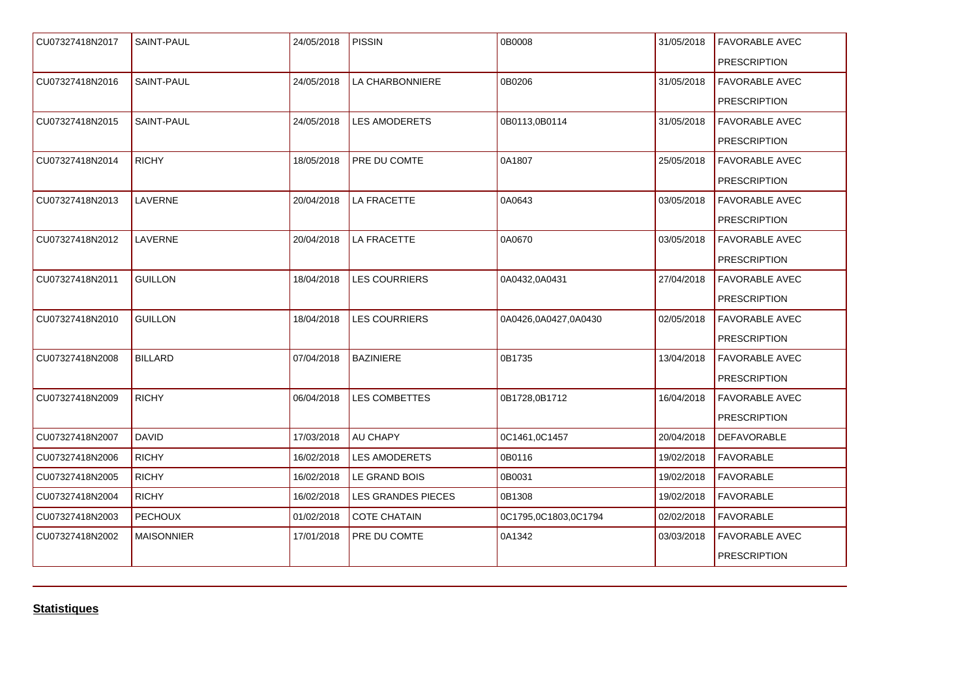| CU07327418N2017 | <b>SAINT-PAUL</b> | 24/05/2018 | <b>PISSIN</b>             | 0B0008               | 31/05/2018 | <b>FAVORABLE AVEC</b> |
|-----------------|-------------------|------------|---------------------------|----------------------|------------|-----------------------|
|                 |                   |            |                           |                      |            | <b>PRESCRIPTION</b>   |
| CU07327418N2016 | SAINT-PAUL        | 24/05/2018 | LA CHARBONNIERE           | 0B0206               | 31/05/2018 | <b>FAVORABLE AVEC</b> |
|                 |                   |            |                           |                      |            | <b>PRESCRIPTION</b>   |
| CU07327418N2015 | SAINT-PAUL        | 24/05/2018 | <b>LES AMODERETS</b>      | 0B0113,0B0114        | 31/05/2018 | <b>FAVORABLE AVEC</b> |
|                 |                   |            |                           |                      |            | <b>PRESCRIPTION</b>   |
| CU07327418N2014 | <b>RICHY</b>      | 18/05/2018 | PRE DU COMTE              | 0A1807               | 25/05/2018 | <b>FAVORABLE AVEC</b> |
|                 |                   |            |                           |                      |            | <b>PRESCRIPTION</b>   |
| CU07327418N2013 | <b>LAVERNE</b>    | 20/04/2018 | <b>LA FRACETTE</b>        | 0A0643               | 03/05/2018 | <b>FAVORABLE AVEC</b> |
|                 |                   |            |                           |                      |            | <b>PRESCRIPTION</b>   |
| CU07327418N2012 | <b>LAVERNE</b>    | 20/04/2018 | LA FRACETTE               | 0A0670               | 03/05/2018 | <b>FAVORABLE AVEC</b> |
|                 |                   |            |                           |                      |            | <b>PRESCRIPTION</b>   |
| CU07327418N2011 | <b>GUILLON</b>    | 18/04/2018 | <b>LES COURRIERS</b>      | 0A0432,0A0431        | 27/04/2018 | <b>FAVORABLE AVEC</b> |
|                 |                   |            |                           |                      |            | <b>PRESCRIPTION</b>   |
| CU07327418N2010 | <b>GUILLON</b>    | 18/04/2018 | <b>LES COURRIERS</b>      | 0A0426,0A0427,0A0430 | 02/05/2018 | <b>FAVORABLE AVEC</b> |
|                 |                   |            |                           |                      |            | <b>PRESCRIPTION</b>   |
| CU07327418N2008 | <b>BILLARD</b>    | 07/04/2018 | <b>BAZINIERE</b>          | 0B1735               | 13/04/2018 | <b>FAVORABLE AVEC</b> |
|                 |                   |            |                           |                      |            | <b>PRESCRIPTION</b>   |
| CU07327418N2009 | <b>RICHY</b>      | 06/04/2018 | LES COMBETTES             | 0B1728,0B1712        | 16/04/2018 | <b>FAVORABLE AVEC</b> |
|                 |                   |            |                           |                      |            | <b>PRESCRIPTION</b>   |
| CU07327418N2007 | <b>DAVID</b>      | 17/03/2018 | AU CHAPY                  | 0C1461,0C1457        | 20/04/2018 | <b>DEFAVORABLE</b>    |
| CU07327418N2006 | <b>RICHY</b>      | 16/02/2018 | LES AMODERETS             | 0B0116               | 19/02/2018 | <b>FAVORABLE</b>      |
| CU07327418N2005 | <b>RICHY</b>      | 16/02/2018 | LE GRAND BOIS             | 0B0031               | 19/02/2018 | <b>FAVORABLE</b>      |
| CU07327418N2004 | <b>RICHY</b>      | 16/02/2018 | <b>LES GRANDES PIECES</b> | 0B1308               | 19/02/2018 | <b>FAVORABLE</b>      |
| CU07327418N2003 | <b>PECHOUX</b>    | 01/02/2018 | <b>COTE CHATAIN</b>       | 0C1795,0C1803,0C1794 | 02/02/2018 | <b>FAVORABLE</b>      |
| CU07327418N2002 | <b>MAISONNIER</b> | 17/01/2018 | PRE DU COMTE              | 0A1342               | 03/03/2018 | <b>FAVORABLE AVEC</b> |
|                 |                   |            |                           |                      |            | <b>PRESCRIPTION</b>   |
|                 |                   |            |                           |                      |            |                       |

**Statistiques**